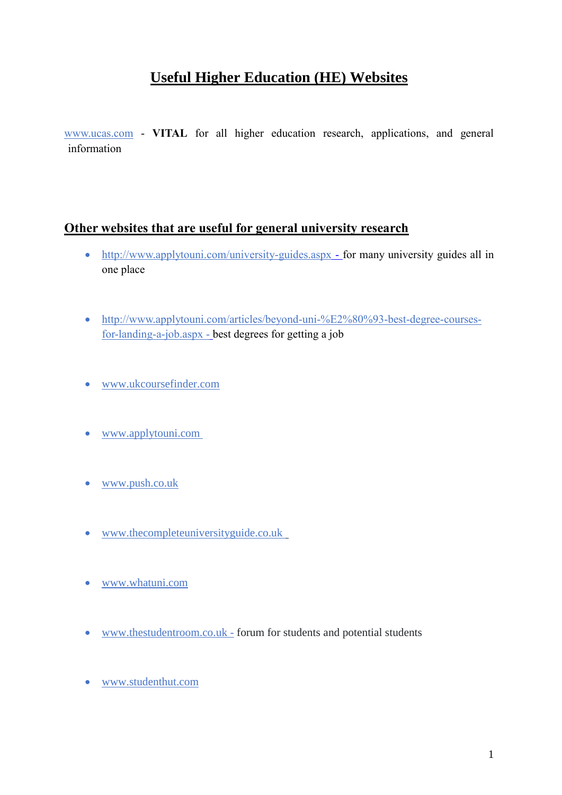# **Useful Higher Education (HE) Websites**

[www.ucas.com](http://www.ucas.com/) - **VITAL** for all higher education research, applications, and general information

#### **Other websites that are useful for general university research**

- <http://www.applytouni.com/university-guides.aspx> for many university guides all in one place
- [http://www.applytouni.com/articles/beyond-uni-%E2%80%93-best-degree-courses](http://www.applytouni.com/articles/beyond-uni-–-best-degree-courses-for-landing-a-job.aspx)[for-landing-a-job.aspx](http://www.applytouni.com/articles/beyond-uni-–-best-degree-courses-for-landing-a-job.aspx) - best degrees for getting a job
- [www.ukcoursefinder.com](http://www.ukcoursefinder.com/)
- [www.applytouni.com](http://www.applytouni.com/)
- [www.push.co.uk](http://www.push.co.uk/)
- [www.thecompleteuniversityguide.co.uk](http://www.thecompleteuniversityguide.co.uk/)
- [www.whatuni.com](http://www.whatuni.com/)
- [www.thestudentroom.co.uk](http://www.thestudentroom.co.uk/) forum for students and potential students
- [www.studenthut.com](http://www.studenthut.com/)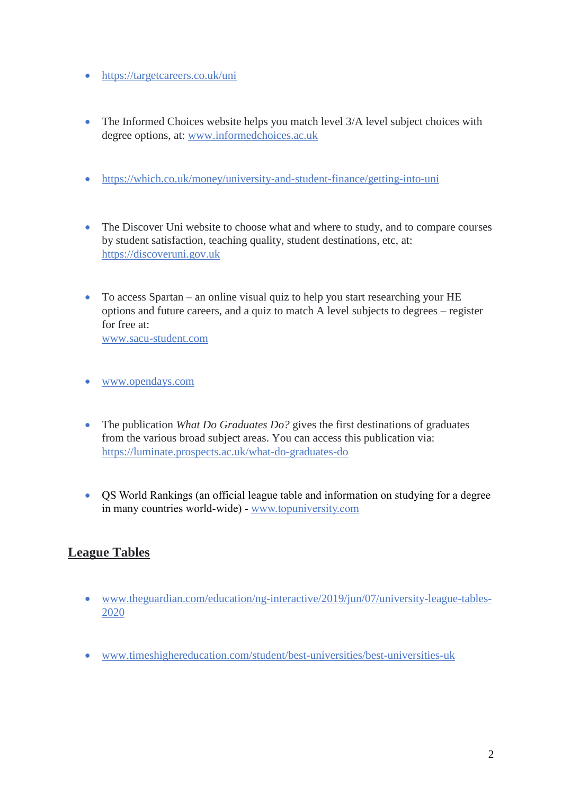- <https://targetcareers.co.uk/uni>
- The Informed Choices website helps you match level 3/A level subject choices with degree options, at: [www.informedchoices.ac.uk](http://www.informedchoices.ac.uk/)
- <https://which.co.uk/money/university-and-student-finance/getting-into-uni>
- The Discover Uni website to choose what and where to study, and to compare courses by student satisfaction, teaching quality, student destinations, etc, at: [https://discoveruni.gov.uk](https://discoveruni.gov.uk/)
- To access Spartan an online visual quiz to help you start researching your HE options and future careers, and a quiz to match A level subjects to degrees – register for free at:

[www.sacu-student.com](http://www.sacu-student.com/)

- [www.opendays.com](http://www.opendays.com/)
- The publication *What Do Graduates Do?* gives the first destinations of graduates from the various broad subject areas. You can access this publication via: <https://luminate.prospects.ac.uk/what-do-graduates-do>
- QS World Rankings (an official league table and information on studying for a degree in many countries world-wide) - [www.topuniversity.com](http://www.topuniversity.com/)

#### **League Tables**

- [www.theguardian.com/education/ng-interactive/2019/jun/07/university-league-tables-](http://www.theguardian.com/education/ng-interactive/2019/jun/07/university-league-tables-2020)[2020](http://www.theguardian.com/education/ng-interactive/2019/jun/07/university-league-tables-2020)
- [www.timeshighereducation.com/student/best-universities/best-universities-uk](http://www.timeshighereducation.com/student/best-universities/best-universities-uk)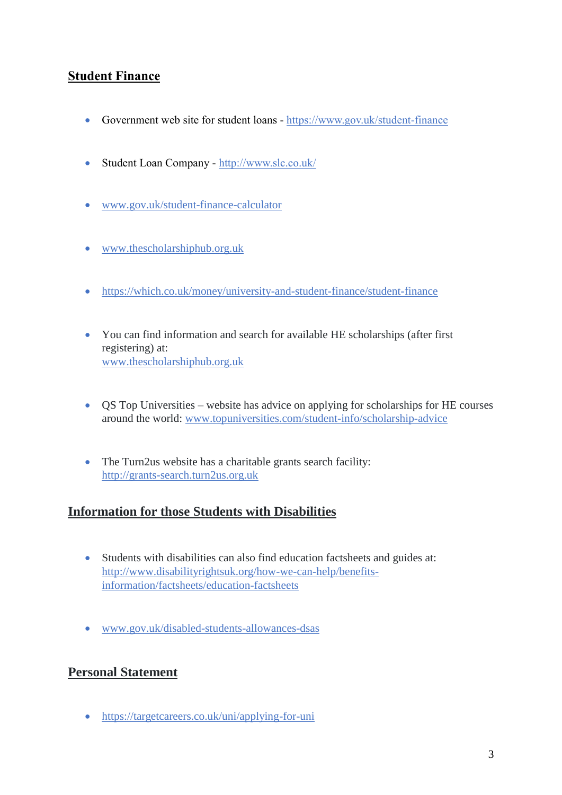## **Student Finance**

- Government web site for student loans <https://www.gov.uk/student-finance>
- Student Loan Company <http://www.slc.co.uk/>
- [www.gov.uk/student-finance-calculator](http://www.gov.uk/student-finance-calculator)
- [www.thescholarshiphub.org.uk](http://www.thescholarshiphub.org.uk/)
- <https://which.co.uk/money/university-and-student-finance/student-finance>
- You can find information and search for available HE scholarships (after first registering) at: [www.thescholarshiphub.org.uk](http://www.thescholarshiphub.org.uk/)
- QS Top Universities website has advice on applying for scholarships for HE courses around the world: [www.topuniversities.com/student-info/scholarship-advice](http://www.topuniversities.com/student-info/scholarship-advice)
- The Turn2us website has a charitable grants search facility: [http://grants-search.turn2us.org.uk](http://grants-search.turn2us.org.uk/)

#### **Information for those Students with Disabilities**

- Students with disabilities can also find education factsheets and guides at: [http://www.disabilityrightsuk.org/how-we-can-help/benefits](http://www.disabilityrightsuk.org/how-we-can-help/benefits-information/factsheets/education-factsheets)[information/factsheets/education-factsheets](http://www.disabilityrightsuk.org/how-we-can-help/benefits-information/factsheets/education-factsheets)
- [www.gov.uk/disabled-students-allowances-dsas](http://www.gov.uk/disabled-students-allowances-dsas)

#### **Personal Statement**

<https://targetcareers.co.uk/uni/applying-for-uni>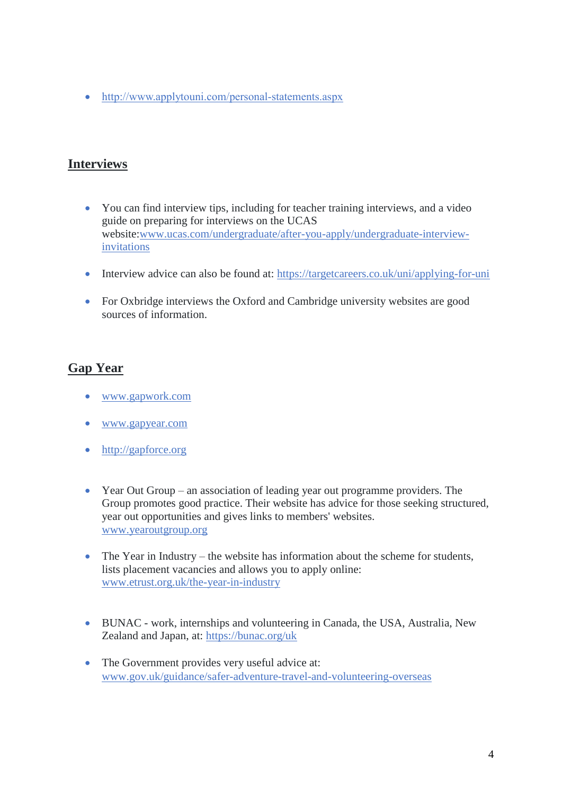• <http://www.applytouni.com/personal-statements.aspx>

#### **Interviews**

- You can find interview tips, including for teacher training interviews, and a video guide on preparing for interviews on the UCAS website[:www.ucas.com/undergraduate/after-you-apply/undergraduate-interview](http://www.ucas.com/undergraduate/after-you-apply/undergraduate-interview-invitations)[invitations](http://www.ucas.com/undergraduate/after-you-apply/undergraduate-interview-invitations)
- Interview advice can also be found at: <https://targetcareers.co.uk/uni/applying-for-uni>
- For Oxbridge interviews the Oxford and Cambridge university websites are good sources of information.

### **Gap Year**

- [www.gapwork.com](http://www.gapwork.com/)
- [www.gapyear.com](http://www.gapyear.com/)
- [http://gapforce.org](http://gapforce.org/)
- Year Out Group an association of leading year out programme providers. The Group promotes good practice. Their website has advice for those seeking structured, year out opportunities and gives links to members' websites. [www.yearoutgroup.org](http://www.yearoutgroup.org/)
- The Year in Industry the website has information about the scheme for students, lists placement vacancies and allows you to apply online: [www.etrust.org.uk/the-year-in-industry](http://www.etrust.org.uk/the-year-in-industry)
- BUNAC work, internships and volunteering in Canada, the USA, Australia, New Zealand and Japan, at: <https://bunac.org/uk>
- The Government provides very useful advice at: [www.gov.uk/guidance/safer-adventure-travel-and-volunteering-overseas](http://www.gov.uk/guidance/safer-adventure-travel-and-volunteering-overseas)